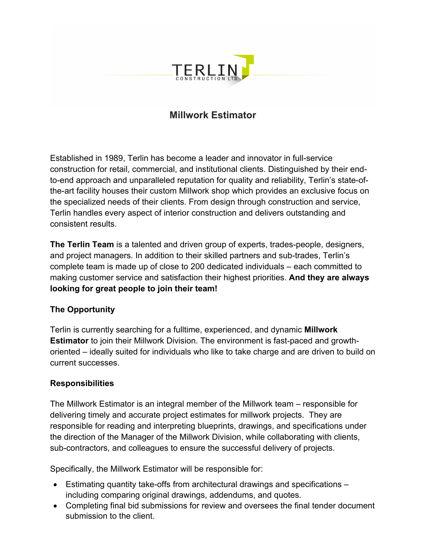

# **Millwork Estimator**

Established in 1989, Terlin has become a leader and innovator in full-service construction for retail, commercial, and institutional clients. Distinguished by their endto-end approach and unparalleled reputation for quality and reliability, Terlin's state-ofthe-art facility houses their custom Millwork shop which provides an exclusive focus on the specialized needs of their clients. From design through construction and service, Terlin handles every aspect of interior construction and delivers outstanding and consistent results.

**The Terlin Team** is a talented and driven group of experts, trades-people, designers, and project managers. In addition to their skilled partners and sub-trades, Terlin's complete team is made up of close to 200 dedicated individuals – each committed to making customer service and satisfaction their highest priorities. **And they are always looking for great people to join their team!**

### **The Opportunity**

Terlin is currently searching for a fulltime, experienced, and dynamic **Millwork Estimator** to join their Millwork Division. The environment is fast-paced and growthoriented – ideally suited for individuals who like to take charge and are driven to build on current successes.

### **Responsibilities**

The Millwork Estimator is an integral member of the Millwork team – responsible for delivering timely and accurate project estimates for millwork projects. They are responsible for reading and interpreting blueprints, drawings, and specifications under the direction of the Manager of the Millwork Division, while collaborating with clients, sub-contractors, and colleagues to ensure the successful delivery of projects.

Specifically, the Millwork Estimator will be responsible for:

- Estimating quantity take-offs from architectural drawings and specifications including comparing original drawings, addendums, and quotes.
- Completing final bid submissions for review and oversees the final tender document submission to the client.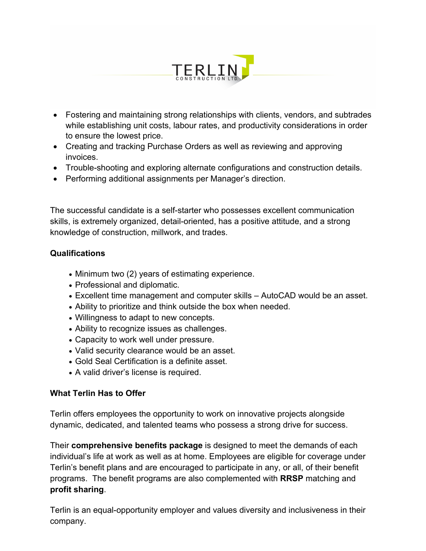

- Fostering and maintaining strong relationships with clients, vendors, and subtrades while establishing unit costs, labour rates, and productivity considerations in order to ensure the lowest price.
- Creating and tracking Purchase Orders as well as reviewing and approving invoices.
- Trouble-shooting and exploring alternate configurations and construction details.
- Performing additional assignments per Manager's direction.

The successful candidate is a self-starter who possesses excellent communication skills, is extremely organized, detail-oriented, has a positive attitude, and a strong knowledge of construction, millwork, and trades.

### **Qualifications**

- Minimum two (2) years of estimating experience.
- Professional and diplomatic.
- Excellent time management and computer skills AutoCAD would be an asset.
- Ability to prioritize and think outside the box when needed.
- Willingness to adapt to new concepts.
- Ability to recognize issues as challenges.
- Capacity to work well under pressure.
- Valid security clearance would be an asset.
- Gold Seal Certification is a definite asset.
- A valid driver's license is required.

### **What Terlin Has to Offer**

Terlin offers employees the opportunity to work on innovative projects alongside dynamic, dedicated, and talented teams who possess a strong drive for success.

Their **comprehensive benefits package** is designed to meet the demands of each individual's life at work as well as at home. Employees are eligible for coverage under Terlin's benefit plans and are encouraged to participate in any, or all, of their benefit programs. The benefit programs are also complemented with **RRSP** matching and **profit sharing**.

Terlin is an equal-opportunity employer and values diversity and inclusiveness in their company.